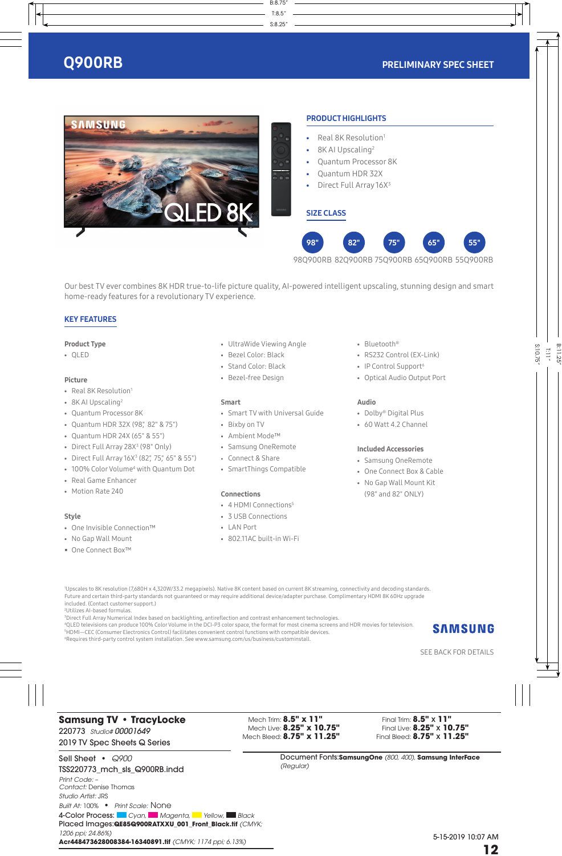

Our best TV ever combines 8K HDR true-to-life picture quality, AI-powered intelligent upscaling, stunning design and smart home-ready features for a revolutionary TV experience.

# KEY FEATURES

# Product Type

• QLED

# Picture

- Real 8K Resolution<sup>1</sup>
- 8K AI Upscaling<sup>2</sup>
- Quantum Processor 8K
- Quantum HDR 32X (98", 82" & 75")
- Quantum HDR 24X (65" & 55")
- Direct Full Array 28X<sup>3</sup> (98" Only)
- Direct Full Array 16X<sup>3</sup> (82", 75", 65" & 55")
- 100% Color Volume<sup>4</sup> with Quantum Dot
- Real Game Enhancer
- Motion Rate 240

# Style

- One Invisible Connection™
- No Gap Wall Mount
- One Connect Box™
- UltraWide Viewing Angle
- Bezel Color: Black
- Stand Color: Black
- Bezel-free Design

# Smart

- Smart TV with Universal Guide
- Bixby on TV
- Ambient Mode™
- Samsung OneRemote
- Connect & Share
- SmartThings Compatible

# Connections

- 4 HDMI Connections<sup>5</sup>
- 3 USB Connections
- LAN Port
- 802.11AC built-in Wi-Fi
- Bluetooth®
- RS232 Control (EX-Link)
- IP Control Support<sup>6</sup>
- Optical Audio Output Port

# Audio

- Dolby® Digital Plus
- $\bullet$  60 Watt 4.2 Channel

# Included Accessories

- Samsung OneRemote
- One Connect Box & Cable
- No Gap Wall Mount Kit (98" and 82" ONLY)

2 Utilizes AI-based formulas.

3 Direct Full Array Numerical Index based on backlighting, antireflection and contrast enhancement technologies.

4 QLED televisions can produce 100% Color Volume in the DCI-P3 color space, the format for most cinema screens and HDR movies for television.

5 HDMI—CEC (Consumer Electronics Control) facilitates convenient control functions with compatible devices. 6 Requires third-party control system installation. See www.samsung.com/us/business/custominstall.



<sup>1</sup> Upscales to 8K resolution (7,680H x 4,320W/33.2 megapixels). Native 8K content based on current 8K streaming, connectivity and decoding standards. Future and certain third-party standards not guaranteed or may require additional device/adapter purchase. Complimentary HDMI 8K 60Hz upgrade included. (Contact customer support.)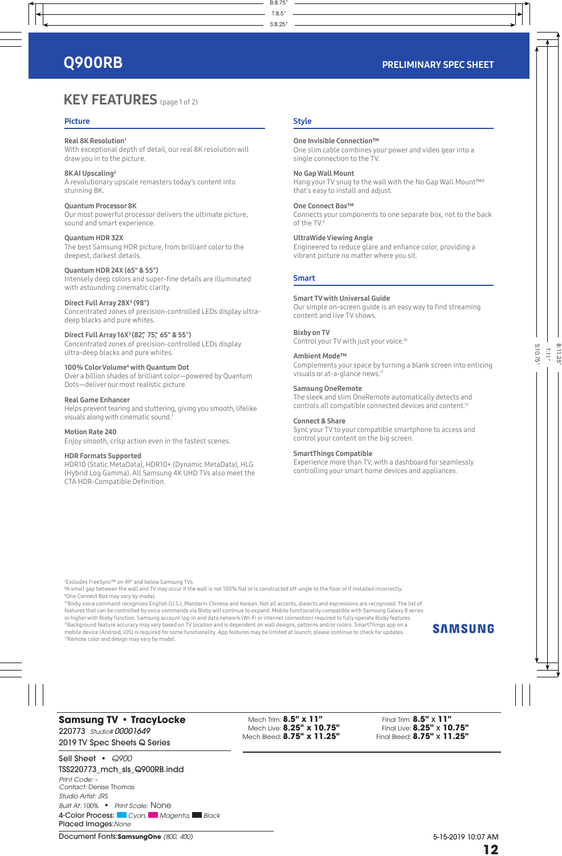# **KEY FEATURES** (page 1 of 2)

# Picture

# Real 8K Resolution1

With exceptional depth of detail, our real 8K resolution will draw you in to the picture.

8K AI Upscaling2 A revolutionary upscale remasters today's content into stunning 8K.

# Quantum Processor 8K

Our most powerful processor delivers the ultimate picture, sound and smart experience.

# Quantum HDR 32X

The best Samsung HDR picture, from brilliant color to the deepest, darkest details.

# Quantum HDR 24X (65" & 55")

Intensely deep colors and super-fine details are illuminated with astounding cinematic clarity.

# Direct Full Array 28X<sup>3</sup> (98")

Concentrated zones of precision-controlled LEDs display ultradeep blacks and pure whites.

# Direct Full Array 16X<sup>3</sup> (82", 75", 65" & 55")

Concentrated zones of precision-controlled LEDs display ultra-deep blacks and pure whites.

### 100% Color Volume<sup>4</sup> with Quantum Dot

Over a billion shades of brilliant color—powered by Quantum Dots—deliver our most realistic picture.

# Real Game Enhancer

Helps prevent tearing and stuttering, giving you smooth, lifelike visuals along with cinematic sound.7

### Motion Rate 240

Enjoy smooth, crisp action even in the fastest scenes.

### HDR Formats Supported

HDR10 (Static MetaData), HDR10+ (Dynamic MetaData), HLG (Hybrid Log Gamma). All Samsung 4K UHD TVs also meet the CTA HDR-Compatible Definition.

# **Style**

# One Invisible Connection™

One slim cable combines your power and video gear into a single connection to the TV.

### No Gap Wall Mount

Hang your TV snug to the wall with the No Gap Wall Mount™8 that's easy to install and adjust.

### One Connect Box™

Connects your components to one separate box, not to the back of the TV.9

# UltraWide Viewing Angle

Engineered to reduce glare and enhance color, providing a vibrant picture no matter where you sit.

# Smart

## Smart TV with Universal Guide

Our simple on-screen guide is an easy way to find streaming content and live TV shows.

# Bixby on TV

Control your TV with just your voice.10

# Ambient Mode™

Complements your space by turning a blank screen into enticing visuals or at-a-glance news.<sup>11</sup>

### Samsung OneRemote

The sleek and slim OneRemote automatically detects and controls all compatible connected devices and content.12

### Connect & Share

Sync your TV to your compatible smartphone to access and control your content on the big screen.

# SmartThings Compatible

Experience more than TV, with a dashboard for seamlessly controlling your smart home devices and appliances.

7 Excludes FreeSync™ on 49" and below Samsung TVs.

8 A small gap between the wall and TV may occur if the wall is not 100% flat or is constructed off-angle to the floor or if installed incorrectly. 9 One Connect Box may vary by model.

<sup>10</sup>Bixby voice command recognizes English (U.S.), Mandarin Chinese and Korean. Not all accents, dialects and expressions are recognized. The list of features that can be controlled by voice commands via Bixby will continue to expand. Mobile functionality compatible with Samsung Galaxy 8 series or higher with Bixby function. Samsung account log-in and data network (Wi-Fi or internet connection) required to fully operate Bixby features. 11Background feature accuracy may vary based on TV location and is dependent on wall designs, patterns and/or colors. SmartThings app on a mobile device (Android, iOS) is required for some functionality. App features may be limited at launch; please continue to check for updates. <sup>12</sup>Remote color and design may vary by model.

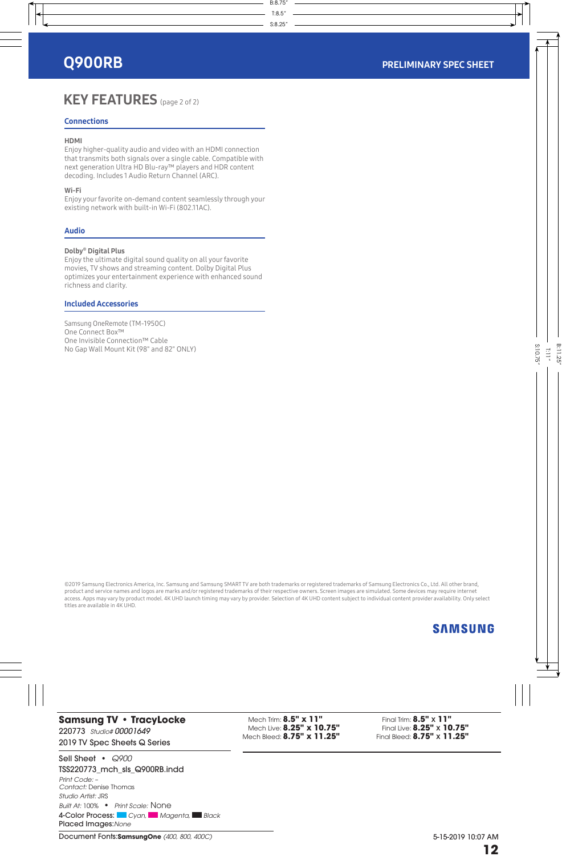# KEY FEATURES (page 2 of 2)

# **Connections**

# HDMI

Enjoy higher-quality audio and video with an HDMI connection that transmits both signals over a single cable. Compatible with next generation Ultra HD Blu-ray™ players and HDR content decoding. Includes 1 Audio Return Channel (ARC).

# Wi-Fi

Enjoy your favorite on-demand content seamlessly through your existing network with built-in Wi-Fi (802.11AC).

# Audio

# Dolby® Digital Plus

Enjoy the ultimate digital sound quality on all your favorite movies, TV shows and streaming content. Dolby Digital Plus optimizes your entertainment experience with enhanced sound richness and clarity.

# Included Accessories

Samsung OneRemote (TM-1950C) One Connect Box™ One Invisible Connection™ Cable No Gap Wall Mount Kit (98" and 82" ONLY)

©2019 Samsung Electronics America, Inc. Samsung and Samsung SMART TV are both trademarks or registered trademarks of Samsung Electronics Co., Ltd. All other brand, product and service names and logos are marks and/or registered trademarks of their respective owners. Screen images are simulated. Some devices may require internet access. Apps may vary by product model. 4K UHD launch timing may vary by provider. Selection of 4K UHD content subject to individual content provider availability. Only select titles are available in 4K UHD.

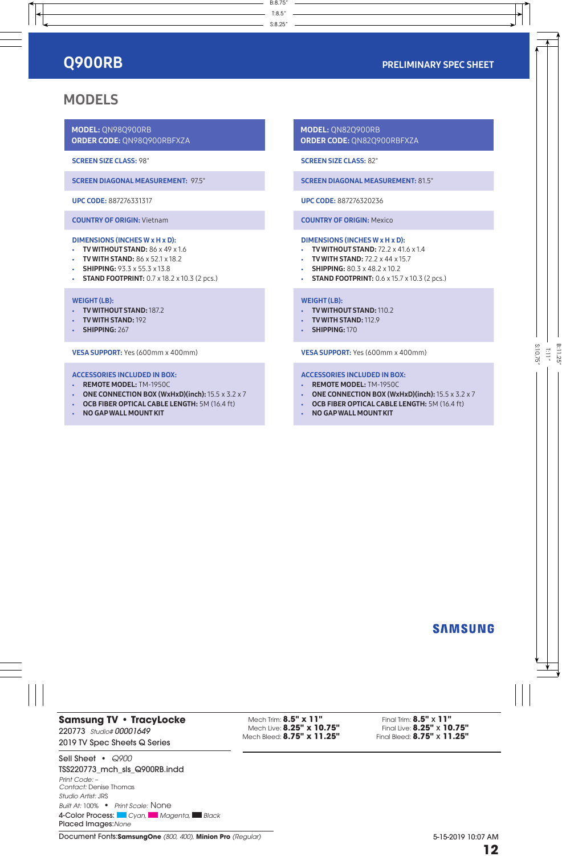# MODELS

MODEL: QN98Q900RB ORDER CODE: QN98Q900RBFXZA

SCREEN SIZE CLASS: 98"

SCREEN DIAGONAL MEASUREMENT: 97.5"

UPC CODE: 887276331317

COUNTRY OF ORIGIN: Vietnam

### DIMENSIONS (INCHES W x H x D):

- TV WITHOUT STAND:  $86 \times 49 \times 1.6$
- **TV WITH STAND: 86 x 52.1 x 18.2**
- SHIPPING: 93.3 x 55.3 x 13.8
- STAND FOOTPRINT: 0.7 x 18.2 x 10.3 (2 pcs.)

# WEIGHT (LB):

- TV WITHOUT STAND: 187.2
- TV WITH STAND: 192
- SHIPPING: 267

VESA SUPPORT: Yes (600mm x 400mm)

# ACCESSORIES INCLUDED IN BOX:

- REMOTE MODEL: TM-1950C
- ONE CONNECTION BOX (WxHxD)(inch):  $15.5 \times 3.2 \times 7$
- OCB FIBER OPTICAL CABLE LENGTH: 5M (16.4 ft)
- NO GAP WALL MOUNT KIT

MODEL: QN82Q900RB ORDER CODE: QN82Q900RBFXZA

SCREEN SIZE CLASS: 82"

SCREEN DIAGONAL MEASUREMENT: 81.5"

UPC CODE: 887276320236

COUNTRY OF ORIGIN: Mexico

#### DIMENSIONS (INCHES W x H x D):

- $\cdot$  TV WITHOUT STAND: 72.2  $\times$  41.6  $\times$  1.4
- $\cdot$  TV WITH STAND: 72.2  $\times$  44  $\times$  15.7
- SHIPPING: 80.3 x 48.2 x 10.2
- STAND FOOTPRINT: 0.6 x 15.7 x 10.3 (2 pcs.)

### WEIGHT (LB):

- TV WITHOUT STAND: 110.2
- TV WITH STAND: 112.9
- SHIPPING: 170

VESA SUPPORT: Yes (600mm x 400mm)

# ACCESSORIES INCLUDED IN BOX:

- REMOTE MODEL: TM-1950C
- ONE CONNECTION BOX (WxHxD)(inch):  $15.5 \times 3.2 \times 7$
- OCB FIBER OPTICAL CABLE LENGTH: 5M (16.4 ft)
- NO GAP WALL MOUNT KIT

# **SAMSUNG**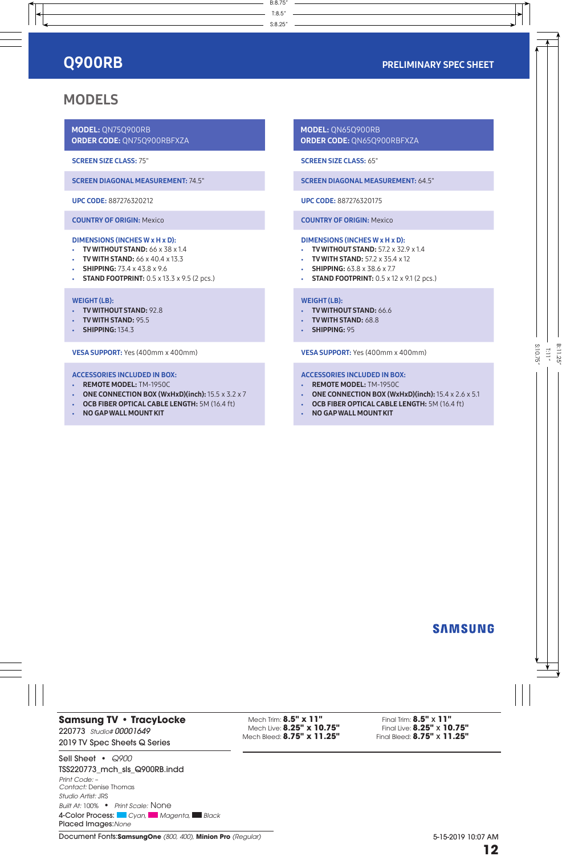# MODELS

MODEL: QN75Q900RB ORDER CODE: QN75Q900RBFXZA

SCREEN SIZE CLASS: 75"

SCREEN DIAGONAL MEASUREMENT: 74.5"

UPC CODE: 887276320212

COUNTRY OF ORIGIN: Mexico

### DIMENSIONS (INCHES W x H x D):

- $\cdot$  TV WITHOUT STAND: 66 x 38 x 1.4
- **TV WITH STAND: 66 x 40.4 x 13.3**
- SHIPPING: 73.4 x 43.8 x 9.6
- **STAND FOOTPRINT:** 0.5 x 13.3 x 9.5 (2 pcs.)

# WEIGHT (LB):

- TV WITHOUT STAND: 92.8
- TV WITH STAND: 95.5
- **SHIPPING:** 134.3

VESA SUPPORT: Yes (400mm x 400mm)

# ACCESSORIES INCLUDED IN BOX:

- REMOTE MODEL: TM-1950C
- ONE CONNECTION BOX (WxHxD)(inch):  $15.5 \times 3.2 \times 7$
- OCB FIBER OPTICAL CABLE LENGTH: 5M (16.4 ft)
- NO GAP WALL MOUNT KIT

MODEL: QN65Q900RB ORDER CODE: QN65Q900RBFXZA

SCREEN SIZE CLASS: 65"

SCREEN DIAGONAL MEASUREMENT: 64.5"

UPC CODE: 887276320175

COUNTRY OF ORIGIN: Mexico

#### DIMENSIONS (INCHES W x H x D):

- TV WITHOUT STAND: 57.2 x 32.9 x 1.4
- TV WITH STAND:  $57.2 \times 35.4 \times 12$
- SHIPPING: 63.8 x 38.6 x 7.7
- **STAND FOOTPRINT:** 0.5 x 12 x 9.1 (2 pcs.)

### WEIGHT (LB):

- TV WITHOUT STAND: 66.6
- TV WITH STAND: 68.8
- SHIPPING: 95

VESA SUPPORT: Yes (400mm x 400mm)

# ACCESSORIES INCLUDED IN BOX:

- REMOTE MODEL: TM-1950C
- ONE CONNECTION BOX (WxHxD)(inch):  $15.4 \times 2.6 \times 5.1$
- OCB FIBER OPTICAL CABLE LENGTH: 5M (16.4 ft)
- NO GAP WALL MOUNT KIT

# **SAMSUNG**